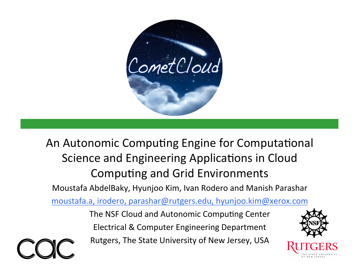

An Autonomic Computing Engine for Computational Science and Engineering Applications in Cloud Computing and Grid Environments

Moustafa AbdelBaky, Hyunjoo Kim, Ivan Rodero and Manish Parashar

moustafa.a, irodero, parashar@rutgers.edu, hyunjoo.kim@xerox.com

The NSF Cloud and Autonomic Computing Center Electrical & Computer Engineering Department Rutgers, The State University of New Jersey, USA

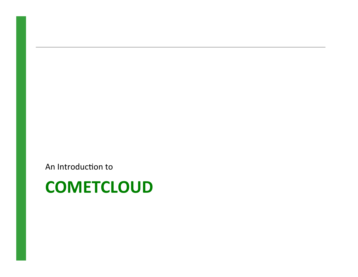An Introduction to

### **COMETCLOUD**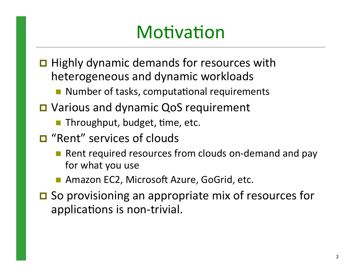## Motivation

- $\Box$  Highly dynamic demands for resources with heterogeneous and dynamic workloads
	- $\blacksquare$  Number of tasks, computational requirements
- □ Various and dynamic QoS requirement
	- $\blacksquare$  Throughput, budget, time, etc.
- $\Box$  "Rent" services of clouds
	- Rent required resources from clouds on-demand and pay for what you use
	- Amazon EC2, Microsoft Azure, GoGrid, etc.
- $\Box$  So provisioning an appropriate mix of resources for applications is non-trivial.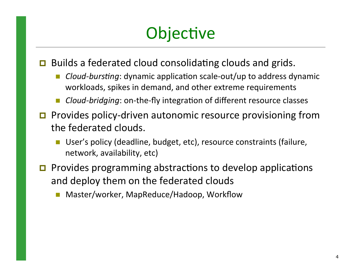## Objective

 $\Box$  Builds a federated cloud consolidating clouds and grids.

- *Cloud-bursting*: dynamic application scale-out/up to address dynamic workloads, spikes in demand, and other extreme requirements
- Cloud-bridging: on-the-fly integration of different resource classes
- $\Box$  Provides policy-driven autonomic resource provisioning from the federated clouds.
	- User's policy (deadline, budget, etc), resource constraints (failure, network, availability, etc)
- $\Box$  Provides programming abstractions to develop applications and deploy them on the federated clouds
	- Master/worker, MapReduce/Hadoop, Workflow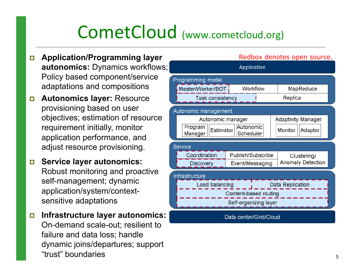## CometCloud (www.cometcloud.org)

- ! **Application/Programming layer autonomics:** Dynamics workflows; Policy based component/service adaptations and compositions
- ! **Autonomics layer:** Resource provisioning based on user objectives; estimation of resource requirement initially, monitor application performance, and adjust resource provisioning.
- ! **Service layer autonomics:** Robust monitoring and proactive self-management; dynamic application/system/contextsensitive adaptations
- ! **Infrastructure layer autonomics:** On-demand scale-out; resilient to failure and data loss; handle dynamic joins/departures; support "trust" boundaries

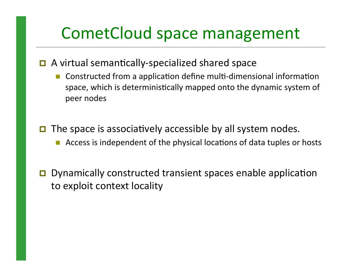### CometCloud space management

#### $\Box$  A virtual semantically-specialized shared space

- Constructed from a application define multi-dimensional information space, which is deterministically mapped onto the dynamic system of peer nodes
- $\Box$  The space is associatively accessible by all system nodes.
	- Access is independent of the physical locations of data tuples or hosts
- $\Box$  Dynamically constructed transient spaces enable application to exploit context locality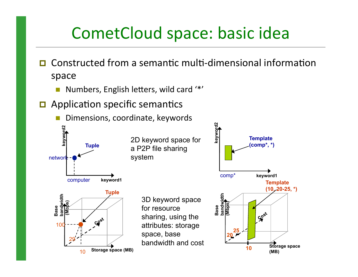### CometCloud space: basic idea

- $\Box$  Constructed from a semantic multi-dimensional information space
	- Numbers, English letters, wild card '\*'
- $\Box$  Application specific semantics

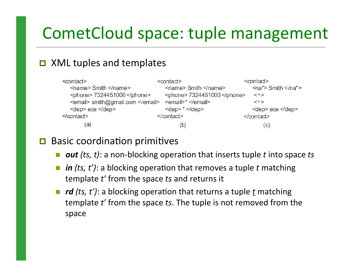### CometCloud space: tuple management

#### **XML tuples and templates**

| <contact></contact>              | <contact></contact>                    | <contact></contact>                  |
|----------------------------------|----------------------------------------|--------------------------------------|
| <name> Smith </name>             | <name> Smith </name>                   | $\langle$ na*> Smith $\langle$ /na*> |
| <phone> 7324451000 </phone>      | <phone> 7324451000 </phone>            | $\lt$ *>                             |
| <email> smith@gmail.com </email> | $\le$ email>* $\le$ /email>            | $\lt^*$                              |
| <dep> ece </dep>                 | $\text{~dep}$ $\text{*}$ $\text{~dep}$ | <dep> ece </dep>                     |
| $\le$ /contact>                  |                                        |                                      |
| (a                               | (b)                                    | (C)                                  |

#### $\Box$  Basic coordination primitives

- *out* (ts, t): a non-blocking operation that inserts tuple t into space ts
- *in (ts, t')*: a blocking operation that removes a tuple *t* matching template t' from the space ts and returns it
- *rd (ts, t')*: a blocking operation that returns a tuple *t* matching template t' from the space ts. The tuple is not removed from the space#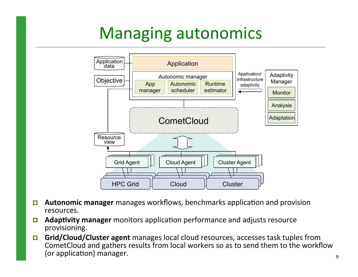### Managing autonomics



- **E.** Autonomic manager manages workflows, benchmarks application and provision resources.#
- **E** Adaptivity manager monitors application performance and adjusts resource provisioning.
- **Grid/Cloud/Cluster agent** manages local cloud resources, accesses task tuples from CometCloud and gathers results from local workers so as to send them to the workflow (or application) manager.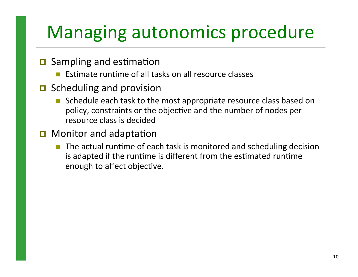## Managing autonomics procedure

- $\Box$  Sampling and estimation
	- Estimate runtime of all tasks on all resource classes
- $\Box$  Scheduling and provision
	- Schedule each task to the most appropriate resource class based on policy, constraints or the objective and the number of nodes per resource class is decided
- $\Box$  Monitor and adaptation
	- The actual runtime of each task is monitored and scheduling decision is adapted if the runtime is different from the estimated runtime enough to affect objective.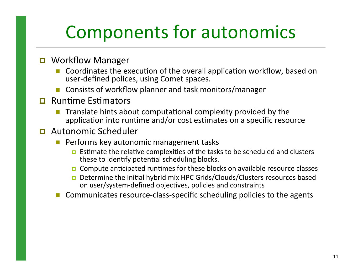## Components for autonomics

#### **D** Workflow Manager

- Coordinates the execution of the overall application workflow, based on user-defined polices, using Comet spaces.
- Consists of workflow planner and task monitors/manager
- $\Box$  Runtime Estimators
	- Translate hints about computational complexity provided by the application into runtime and/or cost estimates on a specific resource
- $\Box$  Autonomic Scheduler
	- Performs key autonomic management tasks
		- **E** Estimate the relative complexities of the tasks to be scheduled and clusters these to identify potential scheduling blocks.
		- $\Box$  Compute anticipated runtimes for these blocks on available resource classes
		- **D** Determine the initial hybrid mix HPC Grids/Clouds/Clusters resources based on user/system-defined objectives, policies and constraints
	- Communicates resource-class-specific scheduling policies to the agents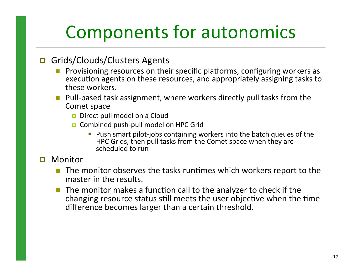## Components for autonomics

#### **D** Grids/Clouds/Clusters Agents

- Provisioning resources on their specific platforms, configuring workers as execution agents on these resources, and appropriately assigning tasks to these workers.
- $\blacksquare$  Pull-based task assignment, where workers directly pull tasks from the Comet space
	- $\Box$  Direct pull model on a Cloud
	- $\Box$  Combined push-pull model on HPC Grid
		- **Push smart pilot-jobs containing workers into the batch queues of the**  $\blacksquare$ HPC Grids, then pull tasks from the Comet space when they are scheduled to run

#### **D** Monitor

- The monitor observes the tasks runtimes which workers report to the master in the results.
- The monitor makes a function call to the analyzer to check if the changing resource status still meets the user objective when the time difference becomes larger than a certain threshold.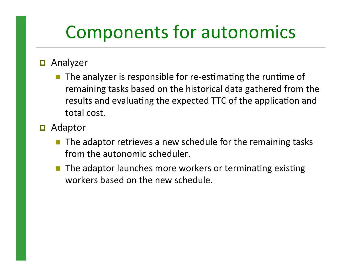## Components for autonomics

#### $\blacksquare$  Analyzer

- $\blacksquare$  The analyzer is responsible for re-estimating the runtime of remaining tasks based on the historical data gathered from the results and evaluating the expected TTC of the application and total cost.
- $\blacksquare$  Adaptor
	- $\blacksquare$  The adaptor retrieves a new schedule for the remaining tasks from the autonomic scheduler.
	- The adaptor launches more workers or terminating existing workers based on the new schedule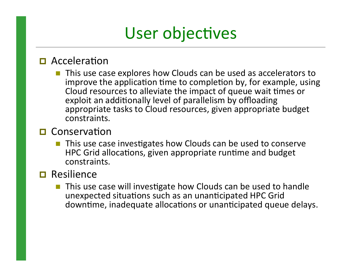### User objectives

#### $\Box$  Acceleration

This use case explores how Clouds can be used as accelerators to improve the application time to completion by, for example, using Cloud resources to alleviate the impact of queue wait times or exploit an additionally level of parallelism by offloading appropriate tasks to Cloud resources, given appropriate budget constraints.#

#### $\Box$  Conservation

 $\blacksquare$  This use case investigates how Clouds can be used to conserve HPC Grid allocations, given appropriate runtime and budget constraints.##

#### $\Box$  Resilience

This use case will investigate how Clouds can be used to handle unexpected situations such as an unanticipated HPC Grid downtime, inadequate allocations or unanticipated queue delays.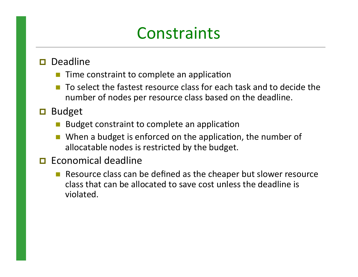### **Constraints**

#### $\Box$  Deadline

- Time constraint to complete an application
- To select the fastest resource class for each task and to decide the number of nodes per resource class based on the deadline.
- $\Box$  Budget
	- Budget constraint to complete an application
	- When a budget is enforced on the application, the number of allocatable nodes is restricted by the budget.

#### $\Box$  Economical deadline

 $\blacksquare$  Resource class can be defined as the cheaper but slower resource class that can be allocated to save cost unless the deadline is violated.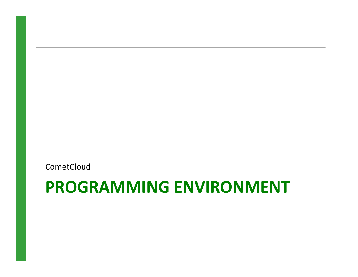**CometCloud** 

### **PROGRAMMING)ENVIRONMENT)**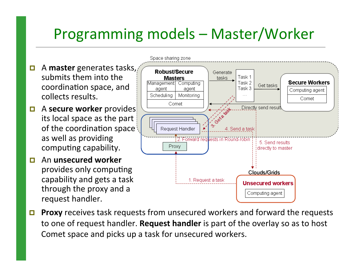### Programming models – Master/Worker

**Secure Workers** 

Computing agent

Comet

**Unsecured workers** 

Computing agent

Space sharing zone

 $\Box$  A **master** generates tasks, Robust/Secure Generate submits them into the Task 1 **Masters** tasks Task 2 Management Computing Get tasks coordination space, and Task 3 agent agent collects results. Schedulina Monitorina Comet Directly send result  $\blacksquare$  A **secure worker** provides its local space as the part of the coordination space Request Handler 4. Send a task as well as providing 2. Forward regliests in Round-robini 5. Send results computing capability. Proxy directly to master  $\Box$  An **unsecured** worker provides only computing Clouds/Grids

capability and gets a task

through the proxy and a

request handler.

**Proxy** receives task requests from unsecured workers and forward the requests to one of request handler. **Request handler** is part of the overlay so as to host Comet space and picks up a task for unsecured workers.

1. Request a task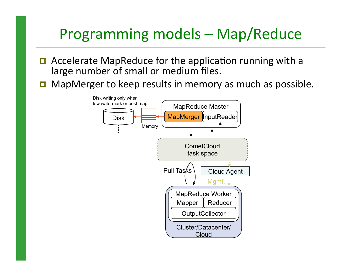#### Programming models – Map/Reduce

- $\Box$  Accelerate MapReduce for the application running with a large number of small or medium files.
- $\Box$  MapMerger to keep results in memory as much as possible.

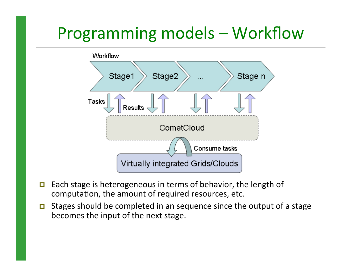### Programming models – Workflow



- $\Box$  Each stage is heterogeneous in terms of behavior, the length of computation, the amount of required resources, etc.
- $\Box$  Stages should be completed in an sequence since the output of a stage becomes the input of the next stage.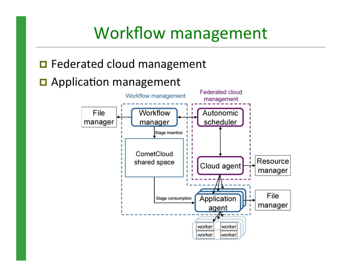### Workflow management

#### $\blacksquare$  Federated cloud management

#### $\Box$  Application management

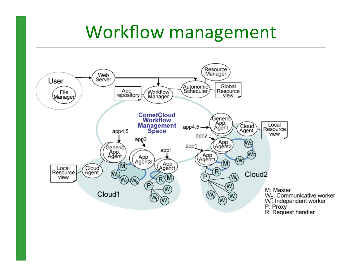### Workflow management

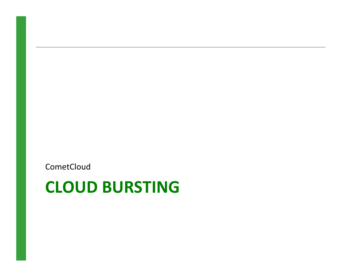**CometCloud** 

### **CLOUD BURSTING**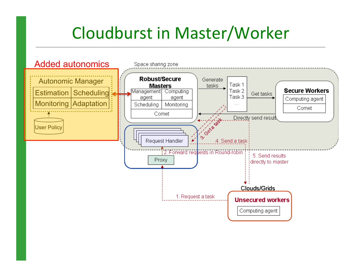### Cloudburst in Master/Worker

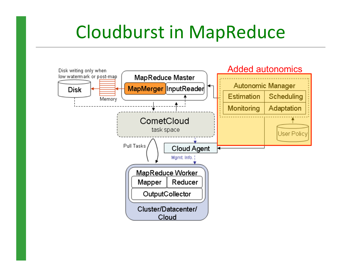## Cloudburst in MapReduce

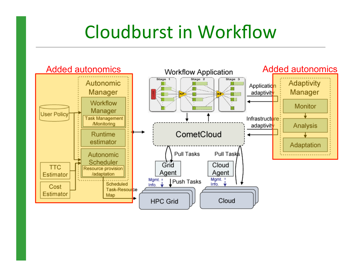## Cloudburst in Workflow

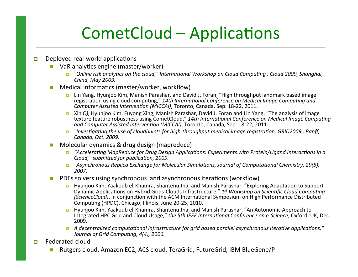### CometCloud – Applications

- $\Box$  Deployed real-world applications
	- $\blacksquare$  VaR analytics engine (master/worker)
		- ! *"Online.risk.analy\*cs.on.the.cloud,".Interna\*onal.Workshop.on.Cloud.Compu\*ng.,.Cloud.2009,.Shanghai,. China,.May.2009..*
	- Medical informatics (master/worker, workflow)
		- **I.** Lin Yang, Hyunjoo Kim, Manish Parashar, and David J. Foran, "High throughput landmark based image registration using cloud computing," 14th International Conference on Medical Image Computing and *Computer Assisted Intervention (MICCAI)*, Toronto, Canada, Sep. 18-22, 2011.
		- **E** Xin Qi, Hyunjoo Kim, Fuyong Xing, Manish Parashar, David J. Foran and Lin Yang, "The analysis of image texture feature robustness using CometCloud," 14th International Conference on Medical Image Computing *and Computer Assisted Intervention (MICCAI)*, Toronto, Canada, Sep. 18-22, 2011.
		- **■** *"Investigating the use of cloudbursts for high-throughput medical image registration, GRID2009, Banff,. Canada,.Oct..2009...*
	- Molecular dynamics & drug design (mapreduce)
		- ! *"Accelera\*ng.MapReduce.for.Drug.Design.Applica\*ons:.Experiments.with.Protein/Ligand.Interac\*ons.in.a. Cloud,"* submitted for publication, 2009.
		- ! *"Asynchronous.Replica.Exchange.for.Molecular.Simula\*ons,.Journal.of.Computa\*onal.Chemistry,.29(5),. 2007..*
	- PDEs solvers using synchronous and asynchronous iterations (workflow)
		- Hyunjoo Kim, Yaakoub el-Khamra, Shantenu Jha, and Manish Parashar, "Exploring Adaptation to Support Dynamic Applications on Hybrid Grids-Clouds Infrastructure," 1<sup>st</sup> Workshop on Scientific Cloud Computing. *(ScienceCloud)*, in conjunction with the ACM International Symposium on High Performance Distributed Computing (HPDC), Chicago, Illinois, June 20-25, 2010.
		- **E** Hyunjoo Kim, Yaakoub el-Khamra, Shantenu Jha, and Manish Parashar, "An Autonomic Approach to Integrated HPC Grid and Cloud Usage," the 5th IEEE International Conference on e-Science, Oxford, UK, Dec. 2009.
		- ! *A.decentralized.computa\*onal.infrastructure.for.grid.based.parallel.asynchronous.itera\*ve.applica\*ons,". Journal of Grid Computing, 4(4), 2006.*
- $\Box$  Federated cloud
	- Rutgers cloud, Amazon EC2, ACS cloud, TeraGrid, FutureGrid, IBM BlueGene/P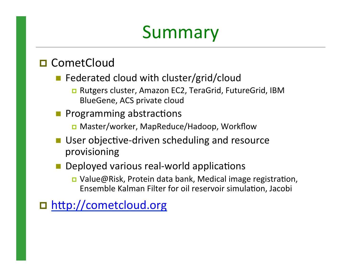## Summary

#### **□ CometCloud**

- $\blacksquare$  Federated cloud with cluster/grid/cloud
	- □ Rutgers cluster, Amazon EC2, TeraGrid, FutureGrid, IBM BlueGene, ACS private cloud
- **Programming abstractions** 
	- Master/worker, MapReduce/Hadoop, Workflow
- $\blacksquare$  User objective-driven scheduling and resource provisioning#
- **Deployed various real-world applications** 
	- $\Box$  Value@Risk, Protein data bank, Medical image registration, Ensemble Kalman Filter for oil reservoir simulation, Jacobi

□ http://cometcloud.org